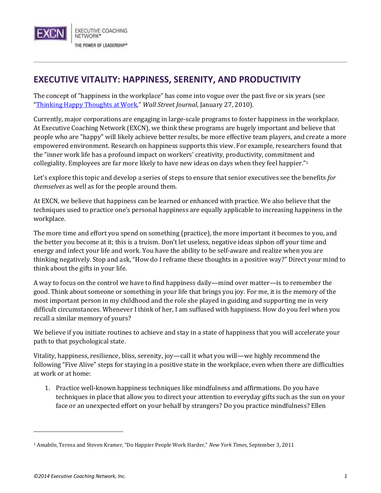

## **EXECUTIVE VITALITY: HAPPINESS, SERENITY, AND PRODUCTIVITY**

The concept of "happiness in the workplace" has come into vogue over the past five or six years (see "[Thinking Happy Thoughts at Work](http://online.wsj.com/news/articles/SB10001424052748704905604575027042440341392)," *Wall Street Journal*, January 27, 2010).

Currently, major corporations are engaging in large-scale programs to foster happiness in the workplace. At Executive Coaching Network (EXCN), we think these programs are hugely important and believe that people who are "happy" will likely achieve better results, be more effective team players, and create a more empowered environment. Research on happiness supports this view. For example, researchers found that the "inner work life has a profound impact on workers' creativity, productivity, commitment and collegiality. Employees are far more likely to have new ideas on days when they feel happier."<sup>1</sup>

Let's explore this topic and develop a series of steps to ensure that senior executives see the benefits *for themselves* as well as for the people around them.

At EXCN, we believe that happiness can be learned or enhanced with practice. We also believe that the techniques used to practice one's personal happiness are equally applicable to increasing happiness in the workplace.

The more time and effort you spend on something (practice), the more important it becomes to you, and the better you become at it; this is a truism. Don't let useless, negative ideas siphon off your time and energy and infect your life and work. You have the ability to be self-aware and realize when you are thinking negatively. Stop and ask, "How do I reframe these thoughts in a positive way?" Direct your mind to think about the gifts in your life.

A way to focus on the control we have to find happiness daily—mind over matter—is to remember the good. Think about someone or something in your life that brings you joy. For me, it is the memory of the most important person in my childhood and the role she played in guiding and supporting me in very difficult circumstances. Whenever I think of her, I am suffused with happiness. How do you feel when you recall a similar memory of yours?

We believe if you initiate routines to achieve and stay in a state of happiness that you will accelerate your path to that psychological state.

Vitality, happiness, resilience, bliss, serenity, joy—call it what you will—we highly recommend the following "Five Alive" steps for staying in a positive state in the workplace, even when there are difficulties at work or at home:

1. Practice well-known happiness techniques like mindfulness and affirmations. Do you have techniques in place that allow you to direct your attention to everyday gifts such as the sun on your face or an unexpected effort on your behalf by strangers? Do you practice mindfulness? Ellen

l

<sup>1</sup> Amabile, Teresa and Steven Kramer, "Do Happier People Work Harder," *New York Times*, September 3, 2011